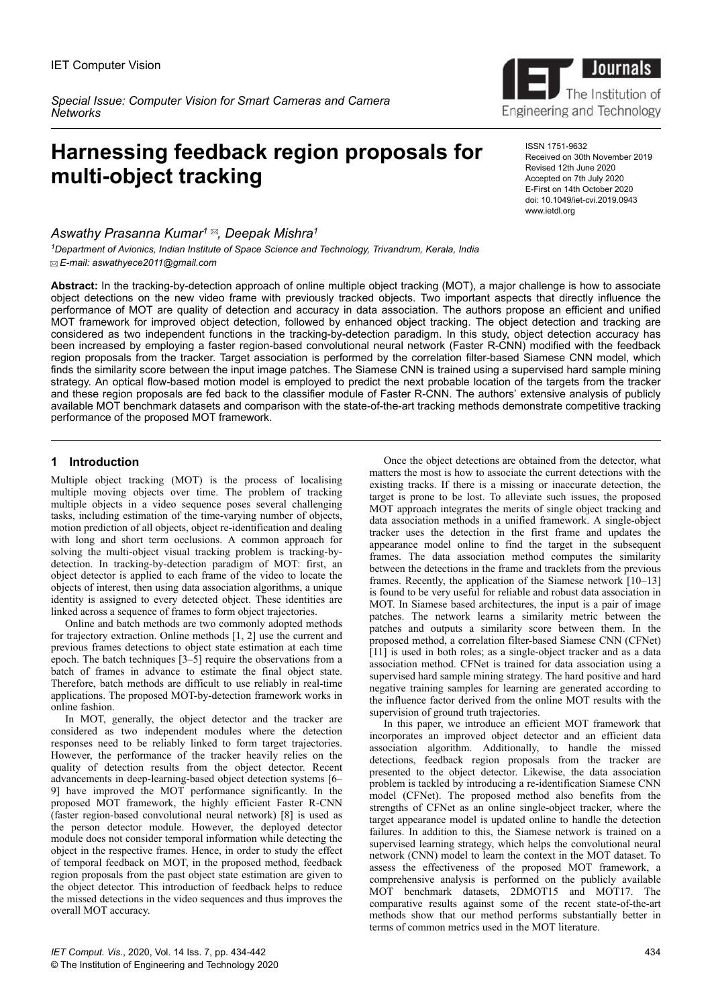*Special Issue: Computer Vision for Smart Cameras and Camera Networks*

# **Harnessing feedback region proposals for multi-object tracking**

*Aswathy Prasanna Kumar<sup>1</sup> , Deepak Mishra<sup>1</sup>*

*<sup>1</sup>Department of Avionics, Indian Institute of Space Science and Technology, Trivandrum, Kerala, India E-mail: aswathyece2011@gmail.com*



ISSN 1751-9632 Received on 30th November 2019 Revised 12th June 2020 Accepted on 7th July 2020 E-First on 14th October 2020 doi: 10.1049/iet-cvi.2019.0943 www.ietdl.org

**Abstract:** In the tracking-by-detection approach of online multiple object tracking (MOT), a major challenge is how to associate object detections on the new video frame with previously tracked objects. Two important aspects that directly influence the performance of MOT are quality of detection and accuracy in data association. The authors propose an efficient and unified MOT framework for improved object detection, followed by enhanced object tracking. The object detection and tracking are considered as two independent functions in the tracking-by-detection paradigm. In this study, object detection accuracy has been increased by employing a faster region-based convolutional neural network (Faster R-CNN) modified with the feedback region proposals from the tracker. Target association is performed by the correlation filter-based Siamese CNN model, which finds the similarity score between the input image patches. The Siamese CNN is trained using a supervised hard sample mining strategy. An optical flow-based motion model is employed to predict the next probable location of the targets from the tracker and these region proposals are fed back to the classifier module of Faster R-CNN. The authors' extensive analysis of publicly available MOT benchmark datasets and comparison with the state-of-the-art tracking methods demonstrate competitive tracking performance of the proposed MOT framework.

# **1** Introduction

Multiple object tracking (MOT) is the process of localising multiple moving objects over time. The problem of tracking multiple objects in a video sequence poses several challenging tasks, including estimation of the time-varying number of objects, motion prediction of all objects, object re-identification and dealing with long and short term occlusions. A common approach for solving the multi-object visual tracking problem is tracking-bydetection. In tracking-by-detection paradigm of MOT: first, an object detector is applied to each frame of the video to locate the objects of interest, then using data association algorithms, a unique identity is assigned to every detected object. These identities are linked across a sequence of frames to form object trajectories.

Online and batch methods are two commonly adopted methods for trajectory extraction. Online methods [1, 2] use the current and previous frames detections to object state estimation at each time epoch. The batch techniques [3–5] require the observations from a batch of frames in advance to estimate the final object state. Therefore, batch methods are difficult to use reliably in real-time applications. The proposed MOT-by-detection framework works in online fashion.

In MOT, generally, the object detector and the tracker are considered as two independent modules where the detection responses need to be reliably linked to form target trajectories. However, the performance of the tracker heavily relies on the quality of detection results from the object detector. Recent advancements in deep-learning-based object detection systems [6– 9] have improved the MOT performance significantly. In the proposed MOT framework, the highly efficient Faster R-CNN (faster region-based convolutional neural network) [8] is used as the person detector module. However, the deployed detector module does not consider temporal information while detecting the object in the respective frames. Hence, in order to study the effect of temporal feedback on MOT, in the proposed method, feedback region proposals from the past object state estimation are given to the object detector. This introduction of feedback helps to reduce the missed detections in the video sequences and thus improves the overall MOT accuracy.

Once the object detections are obtained from the detector, what matters the most is how to associate the current detections with the existing tracks. If there is a missing or inaccurate detection, the target is prone to be lost. To alleviate such issues, the proposed MOT approach integrates the merits of single object tracking and data association methods in a unified framework. A single-object tracker uses the detection in the first frame and updates the appearance model online to find the target in the subsequent frames. The data association method computes the similarity between the detections in the frame and tracklets from the previous frames. Recently, the application of the Siamese network [10–13] is found to be very useful for reliable and robust data association in MOT. In Siamese based architectures, the input is a pair of image patches. The network learns a similarity metric between the patches and outputs a similarity score between them. In the proposed method, a correlation filter-based Siamese CNN (CFNet)  $\left[11\right]$  is used in both roles; as a single-object tracker and as a data association method. CFNet is trained for data association using a supervised hard sample mining strategy. The hard positive and hard negative training samples for learning are generated according to the influence factor derived from the online MOT results with the supervision of ground truth trajectories.

In this paper, we introduce an efficient MOT framework that incorporates an improved object detector and an efficient data association algorithm. Additionally, to handle the missed detections, feedback region proposals from the tracker are presented to the object detector. Likewise, the data association problem is tackled by introducing a re-identification Siamese CNN model (CFNet). The proposed method also benefits from the strengths of CFNet as an online single-object tracker, where the target appearance model is updated online to handle the detection failures. In addition to this, the Siamese network is trained on a supervised learning strategy, which helps the convolutional neural network (CNN) model to learn the context in the MOT dataset. To assess the effectiveness of the proposed MOT framework, a comprehensive analysis is performed on the publicly available MOT benchmark datasets, 2DMOT15 and MOT17. The comparative results against some of the recent state-of-the-art methods show that our method performs substantially better in terms of common metrics used in the MOT literature.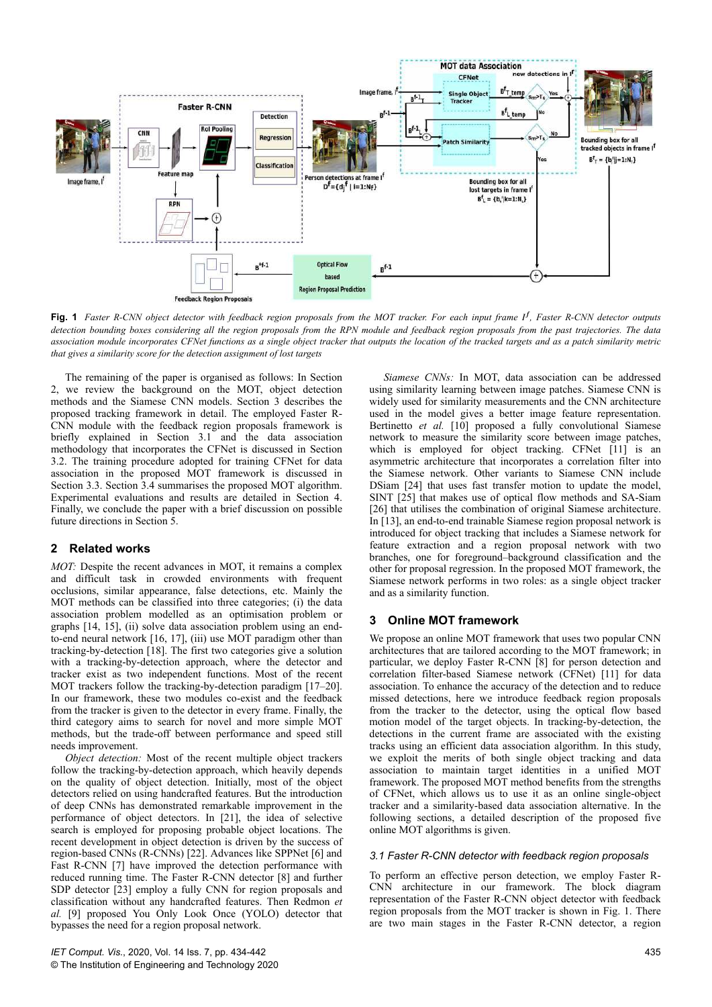

**Fig. 1** *Faster R-CNN object detector with feedback region proposals from the MOT tracker. For each input frame I f , Faster R-CNN detector outputs detection bounding boxes considering all the region proposals from the RPN module and feedback region proposals from the past trajectories. The data association module incorporates CFNet functions as a single object tracker that outputs the location of the tracked targets and as a patch similarity metric that gives a similarity score for the detection assignment of lost targets*

The remaining of the paper is organised as follows: In Section 2, we review the background on the MOT, object detection methods and the Siamese CNN models. Section 3 describes the proposed tracking framework in detail. The employed Faster R-CNN module with the feedback region proposals framework is briefly explained in Section 3.1 and the data association methodology that incorporates the CFNet is discussed in Section 3.2. The training procedure adopted for training CFNet for data association in the proposed MOT framework is discussed in Section 3.3. Section 3.4 summarises the proposed MOT algorithm. Experimental evaluations and results are detailed in Section 4. Finally, we conclude the paper with a brief discussion on possible future directions in Section 5.

# **2Related works**

*MOT:* Despite the recent advances in MOT, it remains a complex and difficult task in crowded environments with frequent occlusions, similar appearance, false detections, etc. Mainly the MOT methods can be classified into three categories; (i) the data association problem modelled as an optimisation problem or graphs [14, 15], (ii) solve data association problem using an endto-end neural network [16, 17], (iii) use MOT paradigm other than tracking-by-detection [18]. The first two categories give a solution with a tracking-by-detection approach, where the detector and tracker exist as two independent functions. Most of the recent MOT trackers follow the tracking-by-detection paradigm [17–20]. In our framework, these two modules co-exist and the feedback from the tracker is given to the detector in every frame. Finally, the third category aims to search for novel and more simple MOT methods, but the trade-off between performance and speed still needs improvement.

*Object detection:* Most of the recent multiple object trackers follow the tracking-by-detection approach, which heavily depends on the quality of object detection. Initially, most of the object detectors relied on using handcrafted features. But the introduction of deep CNNs has demonstrated remarkable improvement in the performance of object detectors. In [21], the idea of selective search is employed for proposing probable object locations. The recent development in object detection is driven by the success of region-based CNNs (R-CNNs) [22]. Advances like SPPNet [6] and Fast R-CNN [7] have improved the detection performance with reduced running time. The Faster R-CNN detector [8] and further SDP detector [23] employ a fully CNN for region proposals and classification without any handcrafted features. Then Redmon *et al.* [9] proposed You Only Look Once (YOLO) detector that bypasses the need for a region proposal network.

*Siamese CNNs:* In MOT, data association can be addressed using similarity learning between image patches. Siamese CNN is widely used for similarity measurements and the CNN architecture used in the model gives a better image feature representation. Bertinetto *et al.* [10] proposed a fully convolutional Siamese network to measure the similarity score between image patches, which is employed for object tracking. CFNet [11] is an asymmetric architecture that incorporates a correlation filter into the Siamese network. Other variants to Siamese CNN include DSiam [24] that uses fast transfer motion to update the model, SINT [25] that makes use of optical flow methods and SA-Siam [26] that utilises the combination of original Siamese architecture. In [13], an end-to-end trainable Siamese region proposal network is introduced for object tracking that includes a Siamese network for feature extraction and a region proposal network with two branches, one for foreground–background classification and the other for proposal regression. In the proposed MOT framework, the Siamese network performs in two roles: as a single object tracker and as a similarity function.

# **3** Online MOT framework

We propose an online MOT framework that uses two popular CNN architectures that are tailored according to the MOT framework; in particular, we deploy Faster R-CNN [8] for person detection and correlation filter-based Siamese network (CFNet) [11] for data association. To enhance the accuracy of the detection and to reduce missed detections, here we introduce feedback region proposals from the tracker to the detector, using the optical flow based motion model of the target objects. In tracking-by-detection, the detections in the current frame are associated with the existing tracks using an efficient data association algorithm. In this study, we exploit the merits of both single object tracking and data association to maintain target identities in a unified MOT framework. The proposed MOT method benefits from the strengths of CFNet, which allows us to use it as an online single-object tracker and a similarity-based data association alternative. In the following sections, a detailed description of the proposed five online MOT algorithms is given.

# *3.1 Faster R-CNN detector with feedback region proposals*

To perform an effective person detection, we employ Faster R-CNN architecture in our framework. The block diagram representation of the Faster R-CNN object detector with feedback region proposals from the MOT tracker is shown in Fig. 1. There are two main stages in the Faster R-CNN detector, a region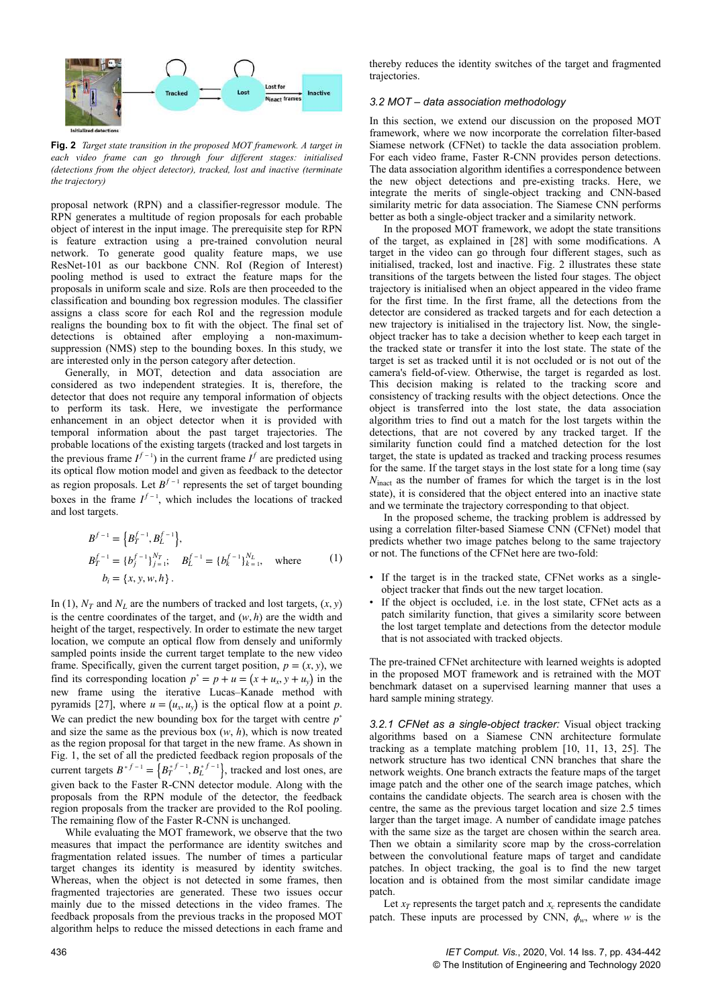

**Fig. 2** *Target state transition in the proposed MOT framework. A target in each video frame can go through four different stages: initialised (detections from the object detector), tracked, lost and inactive (terminate the trajectory)*

proposal network (RPN) and a classifier-regressor module. The RPN generates a multitude of region proposals for each probable object of interest in the input image. The prerequisite step for RPN is feature extraction using a pre-trained convolution neural network. To generate good quality feature maps, we use ResNet-101 as our backbone CNN. RoI (Region of Interest) pooling method is used to extract the feature maps for the proposals in uniform scale and size. RoIs are then proceeded to the classification and bounding box regression modules. The classifier assigns a class score for each RoI and the regression module realigns the bounding box to fit with the object. The final set of detections is obtained after employing a non-maximumsuppression (NMS) step to the bounding boxes. In this study, we are interested only in the person category after detection.

Generally, in MOT, detection and data association are considered as two independent strategies. It is, therefore, the detector that does not require any temporal information of objects to perform its task. Here, we investigate the performance enhancement in an object detector when it is provided with temporal information about the past target trajectories. The probable locations of the existing targets (tracked and lost targets in the previous frame  $I^{f-1}$ ) in the current frame  $I^f$  are predicted using its optical flow motion model and given as feedback to the detector as region proposals. Let  $B^{f-1}$  represents the set of target bounding boxes in the frame  $I^{f-1}$ , which includes the locations of tracked and lost targets.

$$
B^{f-1} = \{B_T^{f-1}, B_L^{f-1}\},
$$
  
\n
$$
B_T^{f-1} = \{b_j^{f-1}\}_{j=1}^{N_T}; \quad B_L^{f-1} = \{b_k^{f-1}\}_{k=1}^{N_L}, \quad \text{where}
$$
  
\n
$$
b_i = \{x, y, w, h\}.
$$
 (1)

In (1),  $N_T$  and  $N_L$  are the numbers of tracked and lost targets,  $(x, y)$ is the centre coordinates of the target, and  $(w, h)$  are the width and height of the target, respectively. In order to estimate the new target location, we compute an optical flow from densely and uniformly sampled points inside the current target template to the new video frame. Specifically, given the current target position,  $p = (x, y)$ , we find its corresponding location  $p^* = p + u = (x + u_x, y + u_y)$  in the new frame using the iterative Lucas–Kanade method with pyramids [27], where  $u = (u_x, u_y)$  is the optical flow at a point p. We can predict the new bounding box for the target with centre *p* ∗ and size the same as the previous box  $(w, h)$ , which is now treated as the region proposal for that target in the new frame. As shown in Fig. 1, the set of all the predicted feedback region proposals of the current targets  $B^{*f-1} = \left\{ B_T^{*f-1}, B_L^{*f-1} \right\}$ , tracked and lost ones, are given back to the Faster R-CNN detector module. Along with the proposals from the RPN module of the detector, the feedback region proposals from the tracker are provided to the RoI pooling. The remaining flow of the Faster R-CNN is unchanged.

While evaluating the MOT framework, we observe that the two measures that impact the performance are identity switches and fragmentation related issues. The number of times a particular target changes its identity is measured by identity switches. Whereas, when the object is not detected in some frames, then fragmented trajectories are generated. These two issues occur mainly due to the missed detections in the video frames. The feedback proposals from the previous tracks in the proposed MOT algorithm helps to reduce the missed detections in each frame and

thereby reduces the identity switches of the target and fragmented trajectories.

# *3.2 MOT – data association methodology*

In this section, we extend our discussion on the proposed MOT framework, where we now incorporate the correlation filter-based Siamese network (CFNet) to tackle the data association problem. For each video frame, Faster R-CNN provides person detections. The data association algorithm identifies a correspondence between the new object detections and pre-existing tracks. Here, we integrate the merits of single-object tracking and CNN-based similarity metric for data association. The Siamese CNN performs better as both a single-object tracker and a similarity network.

In the proposed MOT framework, we adopt the state transitions of the target, as explained in [28] with some modifications. A target in the video can go through four different stages, such as initialised, tracked, lost and inactive. Fig. 2 illustrates these state transitions of the targets between the listed four stages. The object trajectory is initialised when an object appeared in the video frame for the first time. In the first frame, all the detections from the detector are considered as tracked targets and for each detection a new trajectory is initialised in the trajectory list. Now, the singleobject tracker has to take a decision whether to keep each target in the tracked state or transfer it into the lost state. The state of the target is set as tracked until it is not occluded or is not out of the camera's field-of-view. Otherwise, the target is regarded as lost. This decision making is related to the tracking score and consistency of tracking results with the object detections. Once the object is transferred into the lost state, the data association algorithm tries to find out a match for the lost targets within the detections, that are not covered by any tracked target. If the similarity function could find a matched detection for the lost target, the state is updated as tracked and tracking process resumes for the same. If the target stays in the lost state for a long time (say *N*<sub>inact</sub> as the number of frames for which the target is in the lost state), it is considered that the object entered into an inactive state and we terminate the trajectory corresponding to that object.

In the proposed scheme, the tracking problem is addressed by using a correlation filter-based Siamese CNN (CFNet) model that predicts whether two image patches belong to the same trajectory or not. The functions of the CFNet here are two-fold:

- If the target is in the tracked state, CFNet works as a singleobject tracker that finds out the new target location.
- If the object is occluded, i.e. in the lost state, CFNet acts as a patch similarity function, that gives a similarity score between the lost target template and detections from the detector module that is not associated with tracked objects.

The pre-trained CFNet architecture with learned weights is adopted in the proposed MOT framework and is retrained with the MOT benchmark dataset on a supervised learning manner that uses a hard sample mining strategy.

*3.2.1 CFNet as a single-object tracker:* Visual object tracking algorithms based on a Siamese CNN architecture formulate tracking as a template matching problem [10, 11, 13, 25]. The network structure has two identical CNN branches that share the network weights. One branch extracts the feature maps of the target image patch and the other one of the search image patches, which contains the candidate objects. The search area is chosen with the centre, the same as the previous target location and size 2.5 times larger than the target image. A number of candidate image patches with the same size as the target are chosen within the search area. Then we obtain a similarity score map by the cross-correlation between the convolutional feature maps of target and candidate patches. In object tracking, the goal is to find the new target location and is obtained from the most similar candidate image patch.

Let  $x_T$  represents the target patch and  $x_c$  represents the candidate patch. These inputs are processed by CNN,  $\phi_w$ , where *w* is the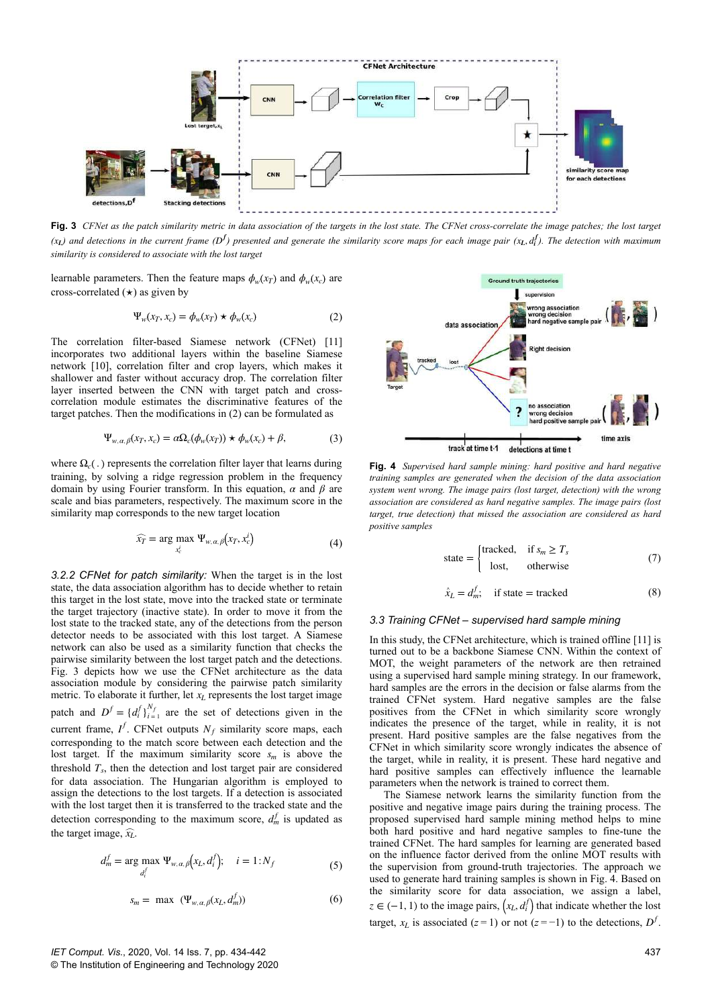

**Fig. 3** *CFNet as the patch similarity metric in data association of the targets in the lost state. The CFNet cross-correlate the image patches; the lost target*  $(x_L)$  and detections in the current frame (D<sup>f</sup>) presented and generate the similarity score maps for each image pair ( $x_L$ ,  $d_i^f$ ). The detection with maximum *similarity is considered to associate with the lost target*

learnable parameters. Then the feature maps  $\phi_w(x_T)$  and  $\phi_w(x_c)$  are cross-correlated  $(\star)$  as given by

$$
\Psi_w(x_T, x_c) = \phi_w(x_T) \star \phi_w(x_c)
$$
 (2)

The correlation filter-based Siamese network (CFNet) [11] incorporates two additional layers within the baseline Siamese network [10], correlation filter and crop layers, which makes it shallower and faster without accuracy drop. The correlation filter layer inserted between the CNN with target patch and crosscorrelation module estimates the discriminative features of the target patches. Then the modifications in (2) can be formulated as

$$
\Psi_{w,\alpha,\beta}(x_T, x_c) = \alpha \Omega_c(\phi_w(x_T)) \star \phi_w(x_c) + \beta,
$$
\n(3)

where  $\Omega_c$ ( $\Omega_c$ ) represents the correlation filter layer that learns during training, by solving a ridge regression problem in the frequency domain by using Fourier transform. In this equation, *α* and *β* are scale and bias parameters, respectively. The maximum score in the similarity map corresponds to the new target location

$$
\widehat{x_T} = \arg \max_{x_c^i} \Psi_{w, \alpha, \beta}(x_T, x_c^i)
$$
\n(4)

*3.2.2 CFNet for patch similarity:* When the target is in the lost state, the data association algorithm has to decide whether to retain this target in the lost state, move into the tracked state or terminate the target trajectory (inactive state). In order to move it from the lost state to the tracked state, any of the detections from the person detector needs to be associated with this lost target. A Siamese network can also be used as a similarity function that checks the pairwise similarity between the lost target patch and the detections. Fig. 3 depicts how we use the CFNet architecture as the data association module by considering the pairwise patch similarity metric. To elaborate it further, let *xL* represents the lost target image patch and  $D^f = \{d_i^f\}_{i=1}^{N_f}$  are the set of detections given in the current frame,  $I^f$ . CFNet outputs  $N_f$  similarity score maps, each corresponding to the match score between each detection and the lost target. If the maximum similarity score  $s_m$  is above the threshold  $T_s$ , then the detection and lost target pair are considered for data association. The Hungarian algorithm is employed to assign the detections to the lost targets. If a detection is associated with the lost target then it is transferred to the tracked state and the detection corresponding to the maximum score,  $d_m^f$  is updated as the target image,  $\widehat{x_l}$ .

$$
d_m^f = \arg \max_{d_i^f} \Psi_{w,\alpha,\beta}(x_L, d_i^f); \quad i = 1:N_f
$$
 (5)

$$
s_m = \max \left( \Psi_{w,\alpha,\beta}(x_L, d_m^f) \right) \tag{6}
$$



**Fig. 4** *Supervised hard sample mining: hard positive and hard negative training samples are generated when the decision of the data association system went wrong. The image pairs (lost target, detection) with the wrong association are considered as hard negative samples. The image pairs (lost target, true detection) that missed the association are considered as hard positive samples*

state = 
$$
\begin{cases} \text{tracked,} & \text{if } s_m \geq T_s \\ \text{lost,} & \text{otherwise} \end{cases}
$$
 (7)

$$
\hat{x}_L = d_m^f; \quad \text{if state} = \text{tracked} \tag{8}
$$

### *3.3 Training CFNet – supervised hard sample mining*

In this study, the CFNet architecture, which is trained offline [11] is turned out to be a backbone Siamese CNN. Within the context of MOT, the weight parameters of the network are then retrained using a supervised hard sample mining strategy. In our framework, hard samples are the errors in the decision or false alarms from the trained CFNet system. Hard negative samples are the false positives from the CFNet in which similarity score wrongly indicates the presence of the target, while in reality, it is not present. Hard positive samples are the false negatives from the CFNet in which similarity score wrongly indicates the absence of the target, while in reality, it is present. These hard negative and hard positive samples can effectively influence the learnable parameters when the network is trained to correct them.

The Siamese network learns the similarity function from the positive and negative image pairs during the training process. The proposed supervised hard sample mining method helps to mine both hard positive and hard negative samples to fine-tune the trained CFNet. The hard samples for learning are generated based on the influence factor derived from the online MOT results with the supervision from ground-truth trajectories. The approach we used to generate hard training samples is shown in Fig. 4. Based on the similarity score for data association, we assign a label,  $z \in (-1, 1)$  to the image pairs,  $(x_L, d_i^f)$  that indicate whether the lost target,  $x_L$  is associated ( $z = 1$ ) or not ( $z = -1$ ) to the detections,  $D^f$ .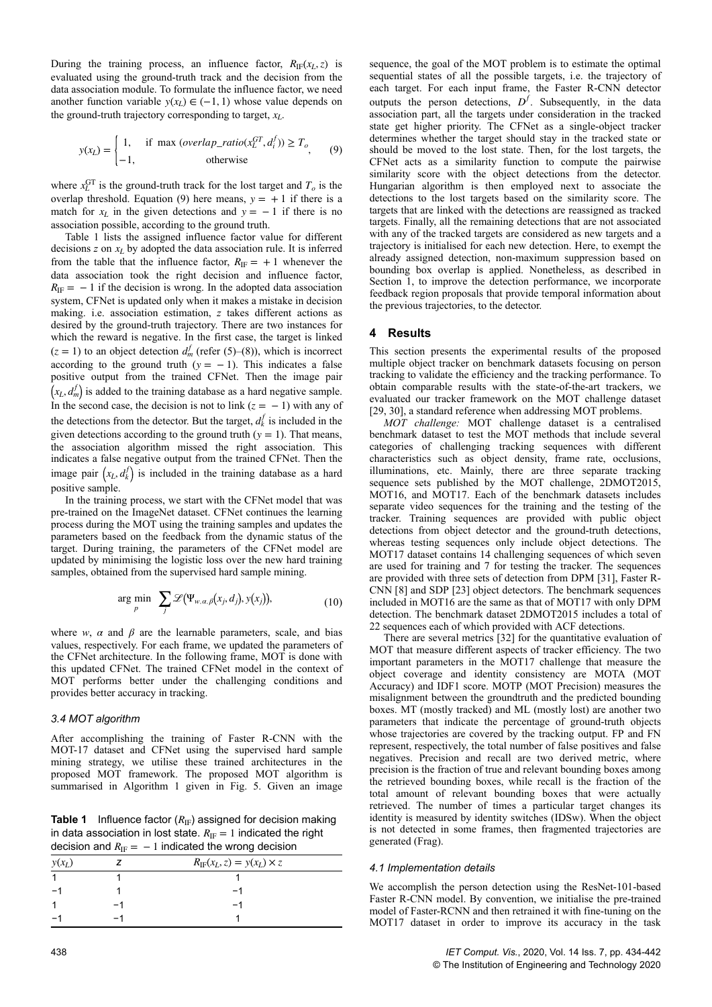During the training process, an influence factor,  $R_{IF}(x_L, z)$  is evaluated using the ground-truth track and the decision from the data association module. To formulate the influence factor, we need another function variable  $y(x_L) \in (-1, 1)$  whose value depends on the ground-truth trajectory corresponding to target,  $x_L$ .

$$
y(x_L) = \begin{cases} 1, & \text{if } \max(\text{overlap\_ratio}(x_L^{GT}, d_i^f)) \ge T_o, \\ -1, & \text{otherwise} \end{cases}
$$
(9)

where  $x_L^{\text{GT}}$  is the ground-truth track for the lost target and  $T_o$  is the overlap threshold. Equation (9) here means,  $y = +1$  if there is a match for  $x_L$  in the given detections and  $y = -1$  if there is no association possible, according to the ground truth.

Table 1 lists the assigned influence factor value for different decisions *z* on *xL* by adopted the data association rule. It is inferred from the table that the influence factor,  $R_{\text{IF}} = +1$  whenever the data association took the right decision and influence factor,  $R_{\text{IF}} = -1$  if the decision is wrong. In the adopted data association system, CFNet is updated only when it makes a mistake in decision making. i.e. association estimation, *z* takes different actions as desired by the ground-truth trajectory. There are two instances for which the reward is negative. In the first case, the target is linked  $(z = 1)$  to an object detection  $d_m^f$  (refer (5)–(8)), which is incorrect according to the ground truth  $(y = -1)$ . This indicates a false positive output from the trained CFNet. Then the image pair  $(x_L, d_m^f)$  is added to the training database as a hard negative sample. In the second case, the decision is not to link  $(z = -1)$  with any of the detections from the detector. But the target,  $d_k^f$  is included in the given detections according to the ground truth  $(y = 1)$ . That means, the association algorithm missed the right association. This indicates a false negative output from the trained CFNet. Then the image pair  $(x_L, d_k^f)$  is included in the training database as a hard positive sample.

In the training process, we start with the CFNet model that was pre-trained on the ImageNet dataset. CFNet continues the learning process during the MOT using the training samples and updates the parameters based on the feedback from the dynamic status of the target. During training, the parameters of the CFNet model are updated by minimising the logistic loss over the new hard training samples, obtained from the supervised hard sample mining.

$$
\arg\min_{p} \sum_{j} \mathcal{L}(\Psi_{w,\alpha,\beta}(x_j,d_j),y(x_j)), \qquad (10)
$$

where *w*,  $\alpha$  and  $\beta$  are the learnable parameters, scale, and bias values, respectively. For each frame, we updated the parameters of the CFNet architecture. In the following frame, MOT is done with this updated CFNet. The trained CFNet model in the context of MOT performs better under the challenging conditions and provides better accuracy in tracking.

## *3.4 MOT algorithm*

After accomplishing the training of Faster R-CNN with the MOT-17 dataset and CFNet using the supervised hard sample mining strategy, we utilise these trained architectures in the proposed MOT framework. The proposed MOT algorithm is summarised in Algorithm 1 given in Fig. 5. Given an image

**Table 1** Influence factor  $(R_{IF})$  assigned for decision making in data association in lost state.  $R_{\text{IF}} = 1$  indicated the right decision and  $R_{\text{IF}} = -1$  indicated the wrong decision

| $y(x_L)$ | $R_{\text{IF}}(x_L, z) = y(x_L) \times z$ |  |
|----------|-------------------------------------------|--|
|          |                                           |  |
|          |                                           |  |
|          |                                           |  |
|          |                                           |  |

sequence, the goal of the MOT problem is to estimate the optimal sequential states of all the possible targets, i.e. the trajectory of each target. For each input frame, the Faster R-CNN detector outputs the person detections,  $D^f$ . Subsequently, in the data association part, all the targets under consideration in the tracked state get higher priority. The CFNet as a single-object tracker determines whether the target should stay in the tracked state or should be moved to the lost state. Then, for the lost targets, the CFNet acts as a similarity function to compute the pairwise similarity score with the object detections from the detector. Hungarian algorithm is then employed next to associate the detections to the lost targets based on the similarity score. The targets that are linked with the detections are reassigned as tracked targets. Finally, all the remaining detections that are not associated with any of the tracked targets are considered as new targets and a trajectory is initialised for each new detection. Here, to exempt the already assigned detection, non-maximum suppression based on bounding box overlap is applied. Nonetheless, as described in Section 1, to improve the detection performance, we incorporate feedback region proposals that provide temporal information about the previous trajectories, to the detector.

## **4** Results

This section presents the experimental results of the proposed multiple object tracker on benchmark datasets focusing on person tracking to validate the efficiency and the tracking performance. To obtain comparable results with the state-of-the-art trackers, we evaluated our tracker framework on the MOT challenge dataset [29, 30], a standard reference when addressing MOT problems.

*MOT challenge:* MOT challenge dataset is a centralised benchmark dataset to test the MOT methods that include several categories of challenging tracking sequences with different characteristics such as object density, frame rate, occlusions, illuminations, etc. Mainly, there are three separate tracking sequence sets published by the MOT challenge, 2DMOT2015, MOT16, and MOT17. Each of the benchmark datasets includes separate video sequences for the training and the testing of the tracker. Training sequences are provided with public object detections from object detector and the ground-truth detections, whereas testing sequences only include object detections. The MOT17 dataset contains 14 challenging sequences of which seven are used for training and 7 for testing the tracker. The sequences are provided with three sets of detection from DPM [31], Faster R-CNN [8] and SDP [23] object detectors. The benchmark sequences included in MOT16 are the same as that of MOT17 with only DPM detection. The benchmark dataset 2DMOT2015 includes a total of 22 sequences each of which provided with ACF detections.

There are several metrics [32] for the quantitative evaluation of MOT that measure different aspects of tracker efficiency. The two important parameters in the MOT17 challenge that measure the object coverage and identity consistency are MOTA (MOT Accuracy) and IDF1 score. MOTP (MOT Precision) measures the misalignment between the groundtruth and the predicted bounding boxes. MT (mostly tracked) and ML (mostly lost) are another two parameters that indicate the percentage of ground-truth objects whose trajectories are covered by the tracking output. FP and FN represent, respectively, the total number of false positives and false negatives. Precision and recall are two derived metric, where precision is the fraction of true and relevant bounding boxes among the retrieved bounding boxes, while recall is the fraction of the total amount of relevant bounding boxes that were actually retrieved. The number of times a particular target changes its identity is measured by identity switches (IDSw). When the object is not detected in some frames, then fragmented trajectories are generated (Frag).

#### *4.1 Implementation details*

We accomplish the person detection using the ResNet-101-based Faster R-CNN model. By convention, we initialise the pre-trained model of Faster-RCNN and then retrained it with fine-tuning on the MOT17 dataset in order to improve its accuracy in the task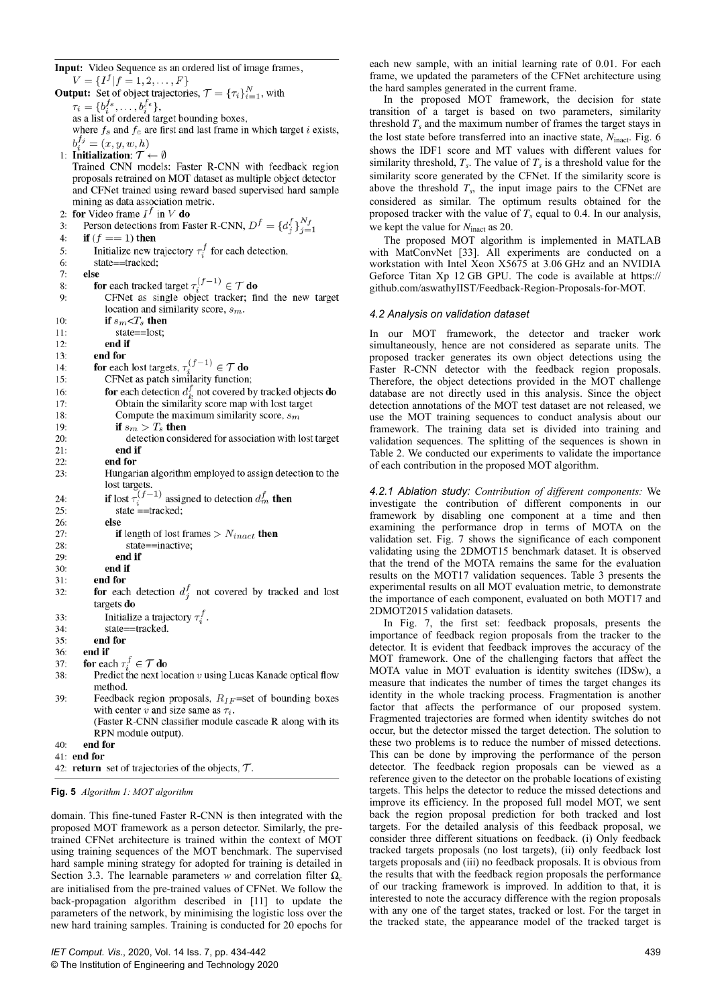Input: Video Sequence as an ordered list of image frames,

 $V = \{I^f | f = 1, 2, \ldots, F\}$ **Output:** Set of object trajectories,  $\mathcal{T} = {\tau_i}_{i=1}^N$ , with **put.** Set of object agencies,  $\vec{r} = \vec{v}_i \vec{v}_i$ ,<br>  $\tau_i = \{\vec{b}_i^f, \dots, \vec{b}_i^f\}$ ,<br>
as a list of order darget bounding boxes, where  $f_s$  and  $f_e$  are first and last frame in which target *i* exists,  $b_i^{f_j} = (x, y, w, h)$ 1: Initialization:  $\mathcal{T} \leftarrow \emptyset$ Trained CNN models: Faster R-CNN with feedback region proposals retrained on MOT dataset as multiple object detector and CFNet trained using reward based supervised hard sample mining as data association metric. for Video frame  $I^f$  in V do  $2:$ **r** Video frame  $I^{\circ}$  in V **do**<br>**Person detections from Faster R-CNN**,  $D^f = \{d_j^f\}_{j=1}^{N_f}$  $\overline{3}$ :  $4:$ if  $(f == 1)$  then Initialize new trajectory  $\tau_i^f$  for each detection,  $5:$ state==tracked; 6:  $7:$ else **SC**<br>for each tracked target  $\tau_i^{(f-1)} \in \mathcal{T}$  **do**<br>CFNet as single object tracker; find the new target 8:  $9:$ location and similarity score,  $s_m$ . if  $s_m\!\!<\!\!T_s$  then  $10:$ state==lost;  $11:$  $12.$ end if end for  $13:$ **for each lost targets,**  $\tau_i^{(f-1)} \in \mathcal{T}$  **do**<br>CFNet as patch similarity function;  $14$  $15:$ **for** each detection  $d_{\iota}^{f}$  not covered by tracked objects **do** 16:  $17:$ Obtain the similarity score map with lost target 18: Compute the maximum similarity score,  $s_m$ if  $s_m > T_s$  then  $19:$  $20:$ detection considered for association with lost target  $21:$ end if  $22$ end for Hungarian algorithm employed to assign detection to the 23: 1. In the largests.<br>
In lost tragets.<br> **if** lost  $\tau_i^{(f-1)}$  assigned to detection  $d_m^f$  then<br>
state ==tracked;  $24:$  $25:$  $26:$ else if length of lost frames  $> N_{inact}$  then  $27.$  $28.$ state==inactive; end if  $29:$  $30:$ end if end for  $31:$ for each detection  $d_i^f$  not covered by tracked and lost  $32$ targets do Initialize a trajectory  $\tau_i^f$ .  $33:$ state==tracked.  $34:$  $35:$ end for end if  $36:$ for each  $\tau_i^f \in \mathcal{T}$  do  $37:$ Predict the next location  $v$  using Lucas Kanade optical flow 38: method. 39: Feedback region proposals,  $R_{IF}$ =set of bounding boxes with center v and size same as  $\tau_i$ . (Faster R-CNN classifier module cascade R along with its RPN module output).  $40:$ end for  $41:$  end for 42: return set of trajectories of the objects,  $\mathcal{T}$ .

# **Fig. 5** *Algorithm 1: MOT algorithm*

domain. This fine-tuned Faster R-CNN is then integrated with the proposed MOT framework as a person detector. Similarly, the pretrained CFNet architecture is trained within the context of MOT using training sequences of the MOT benchmark. The supervised hard sample mining strategy for adopted for training is detailed in Section 3.3. The learnable parameters *w* and correlation filter  $\Omega_c$ are initialised from the pre-trained values of CFNet. We follow the back-propagation algorithm described in [11] to update the parameters of the network, by minimising the logistic loss over the new hard training samples. Training is conducted for 20 epochs for each new sample, with an initial learning rate of 0.01. For each frame, we updated the parameters of the CFNet architecture using the hard samples generated in the current frame.

In the proposed MOT framework, the decision for state transition of a target is based on two parameters, similarity threshold  $T_s$  and the maximum number of frames the target stays in the lost state before transferred into an inactive state,  $N_{\text{inact}}$ . Fig. 6 shows the IDF1 score and MT values with different values for similarity threshold,  $T_s$ . The value of  $T_s$  is a threshold value for the similarity score generated by the CFNet. If the similarity score is above the threshold  $T_s$ , the input image pairs to the CFNet are considered as similar. The optimum results obtained for the proposed tracker with the value of  $T<sub>s</sub>$  equal to 0.4. In our analysis, we kept the value for  $N_{\text{inact}}$  as 20.

The proposed MOT algorithm is implemented in MATLAB with MatConvNet [33]. All experiments are conducted on a workstation with Intel Xeon X5675 at 3.06 GHz and an NVIDIA Geforce Titan Xp 12 GB GPU. The code is available at https:// github.com/aswathyIIST/Feedback-Region-Proposals-for-MOT.

#### *4.2 Analysis on validation dataset*

In our MOT framework, the detector and tracker work simultaneously, hence are not considered as separate units. The proposed tracker generates its own object detections using the Faster R-CNN detector with the feedback region proposals. Therefore, the object detections provided in the MOT challenge database are not directly used in this analysis. Since the object detection annotations of the MOT test dataset are not released, we use the MOT training sequences to conduct analysis about our framework. The training data set is divided into training and validation sequences. The splitting of the sequences is shown in Table 2. We conducted our experiments to validate the importance of each contribution in the proposed MOT algorithm.

*4.2.1 Ablation study: Contribution of different components:* We investigate the contribution of different components in our framework by disabling one component at a time and then examining the performance drop in terms of MOTA on the validation set. Fig. 7 shows the significance of each component validating using the 2DMOT15 benchmark dataset. It is observed that the trend of the MOTA remains the same for the evaluation results on the MOT17 validation sequences. Table 3 presents the experimental results on all MOT evaluation metric, to demonstrate the importance of each component, evaluated on both MOT17 and 2DMOT2015 validation datasets.

In Fig. 7, the first set: feedback proposals, presents the importance of feedback region proposals from the tracker to the detector. It is evident that feedback improves the accuracy of the MOT framework. One of the challenging factors that affect the MOTA value in MOT evaluation is identity switches (IDSw), a measure that indicates the number of times the target changes its identity in the whole tracking process. Fragmentation is another factor that affects the performance of our proposed system. Fragmented trajectories are formed when identity switches do not occur, but the detector missed the target detection. The solution to these two problems is to reduce the number of missed detections. This can be done by improving the performance of the person detector. The feedback region proposals can be viewed as a reference given to the detector on the probable locations of existing targets. This helps the detector to reduce the missed detections and improve its efficiency. In the proposed full model MOT, we sent back the region proposal prediction for both tracked and lost targets. For the detailed analysis of this feedback proposal, we consider three different situations on feedback. (i) Only feedback tracked targets proposals (no lost targets), (ii) only feedback lost targets proposals and (iii) no feedback proposals. It is obvious from the results that with the feedback region proposals the performance of our tracking framework is improved. In addition to that, it is interested to note the accuracy difference with the region proposals with any one of the target states, tracked or lost. For the target in the tracked state, the appearance model of the tracked target is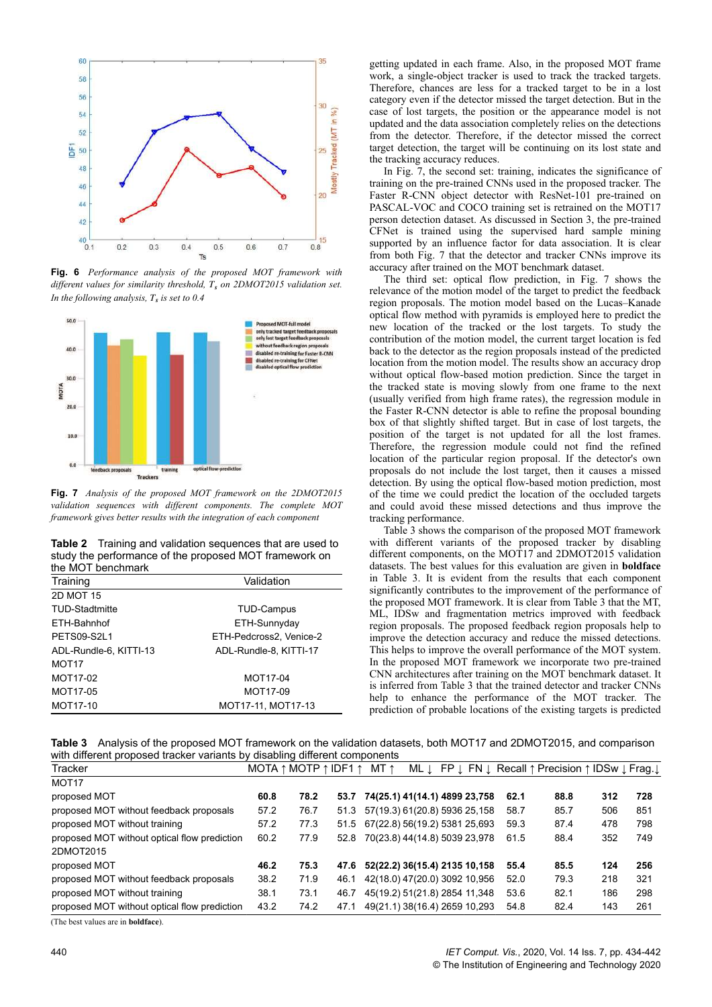

**Fig. 6** *Performance analysis of the proposed MOT framework with different values for similarity threshold, T<sup>s</sup> on 2DMOT2015 validation set. In the following analysis, T<sup>s</sup> is set to 0.4*



**Fig. 7** *Analysis of the proposed MOT framework on the 2DMOT2015 validation sequences with different components. The complete MOT framework gives better results with the integration of each component*

**Table 2** Training and validation sequences that are used to study the performance of the proposed MOT framework on the MOT benchmark

| <u>uitus ivitus 1. bulioniniai it</u> |                         |  |  |  |  |  |  |  |
|---------------------------------------|-------------------------|--|--|--|--|--|--|--|
| Training                              | Validation              |  |  |  |  |  |  |  |
| <b>2D MOT 15</b>                      |                         |  |  |  |  |  |  |  |
| <b>TUD-Stadtmitte</b>                 | <b>TUD-Campus</b>       |  |  |  |  |  |  |  |
| ETH-Bahnhof                           | ETH-Sunnyday            |  |  |  |  |  |  |  |
| PETS09-S2L1                           | ETH-Pedcross2, Venice-2 |  |  |  |  |  |  |  |
| ADL-Rundle-6, KITTI-13                | ADL-Rundle-8, KITTI-17  |  |  |  |  |  |  |  |
| MOT <sub>17</sub>                     |                         |  |  |  |  |  |  |  |
| MOT17-02                              | MOT17-04                |  |  |  |  |  |  |  |
| MOT17-05                              | MOT17-09                |  |  |  |  |  |  |  |
| MOT17-10                              | MOT17-11, MOT17-13      |  |  |  |  |  |  |  |
|                                       |                         |  |  |  |  |  |  |  |

getting updated in each frame. Also, in the proposed MOT frame work, a single-object tracker is used to track the tracked targets. Therefore, chances are less for a tracked target to be in a lost category even if the detector missed the target detection. But in the case of lost targets, the position or the appearance model is not updated and the data association completely relies on the detections from the detector. Therefore, if the detector missed the correct target detection, the target will be continuing on its lost state and the tracking accuracy reduces.

In Fig. 7, the second set: training, indicates the significance of training on the pre-trained CNNs used in the proposed tracker. The Faster R-CNN object detector with ResNet-101 pre-trained on PASCAL-VOC and COCO training set is retrained on the MOT17 person detection dataset. As discussed in Section 3, the pre-trained CFNet is trained using the supervised hard sample mining supported by an influence factor for data association. It is clear from both Fig. 7 that the detector and tracker CNNs improve its accuracy after trained on the MOT benchmark dataset.

The third set: optical flow prediction, in Fig. 7 shows the relevance of the motion model of the target to predict the feedback region proposals. The motion model based on the Lucas–Kanade optical flow method with pyramids is employed here to predict the new location of the tracked or the lost targets. To study the contribution of the motion model, the current target location is fed back to the detector as the region proposals instead of the predicted location from the motion model. The results show an accuracy drop without optical flow-based motion prediction. Since the target in the tracked state is moving slowly from one frame to the next (usually verified from high frame rates), the regression module in the Faster R-CNN detector is able to refine the proposal bounding box of that slightly shifted target. But in case of lost targets, the position of the target is not updated for all the lost frames. Therefore, the regression module could not find the refined location of the particular region proposal. If the detector's own proposals do not include the lost target, then it causes a missed detection. By using the optical flow-based motion prediction, most of the time we could predict the location of the occluded targets and could avoid these missed detections and thus improve the tracking performance.

Table 3 shows the comparison of the proposed MOT framework with different variants of the proposed tracker by disabling different components, on the MOT17 and 2DMOT2015 validation datasets. The best values for this evaluation are given in **boldface** in Table 3. It is evident from the results that each component significantly contributes to the improvement of the performance of the proposed MOT framework. It is clear from Table 3 that the MT, ML, IDSw and fragmentation metrics improved with feedback region proposals. The proposed feedback region proposals help to improve the detection accuracy and reduce the missed detections. This helps to improve the overall performance of the MOT system. In the proposed MOT framework we incorporate two pre-trained CNN architectures after training on the MOT benchmark dataset. It is inferred from Table 3 that the trained detector and tracker CNNs help to enhance the performance of the MOT tracker. The prediction of probable locations of the existing targets is predicted

**Table 3** Analysis of the proposed MOT framework on the validation datasets, both MOT17 and 2DMOT2015, and comparison with different proposed tracker variants by disabling different components

| Tracker                                      |      | MOTA $\uparrow$ MOTP $\uparrow$ IDF1 $\uparrow$ |      | MT ↑ |                                    |      | ML ↓ FP ↓ FN ↓ Recall ↑ Precision ↑ IDSw ↓ Frag. ↓ |     |     |
|----------------------------------------------|------|-------------------------------------------------|------|------|------------------------------------|------|----------------------------------------------------|-----|-----|
| MOT <sub>17</sub>                            |      |                                                 |      |      |                                    |      |                                                    |     |     |
| proposed MOT                                 | 60.8 | 78.2                                            | 53.7 |      | 74(25.1) 41(14.1) 4899 23,758      | 62.1 | 88.8                                               | 312 | 728 |
| proposed MOT without feedback proposals      | 57.2 | 76.7                                            | 51.3 |      | 57(19.3) 61(20.8) 5936 25,158      | 58.7 | 85.7                                               | 506 | 851 |
| proposed MOT without training                | 57.2 | 77.3                                            |      |      | 51.5 67(22.8) 56(19.2) 5381 25,693 | 59.3 | 87.4                                               | 478 | 798 |
| proposed MOT without optical flow prediction | 60.2 | 77.9                                            | 52.8 |      | 70(23.8) 44(14.8) 5039 23,978      | 61.5 | 88.4                                               | 352 | 749 |
| 2DMOT2015                                    |      |                                                 |      |      |                                    |      |                                                    |     |     |
| proposed MOT                                 | 46.2 | 75.3                                            | 47.6 |      | 52(22.2) 36(15.4) 2135 10,158      | 55.4 | 85.5                                               | 124 | 256 |
| proposed MOT without feedback proposals      | 38.2 | 71.9                                            | 46.1 |      | 42(18.0) 47(20.0) 3092 10,956      | 52.0 | 79.3                                               | 218 | 321 |
| proposed MOT without training                | 38.1 | 73.1                                            | 46.7 |      | 45(19.2) 51(21.8) 2854 11,348      | 53.6 | 82.1                                               | 186 | 298 |
| proposed MOT without optical flow prediction | 43.2 | 74.2                                            | 47.1 |      | 49(21.1) 38(16.4) 2659 10,293      | 54.8 | 82.4                                               | 143 | 261 |

(The best values are in **boldface**).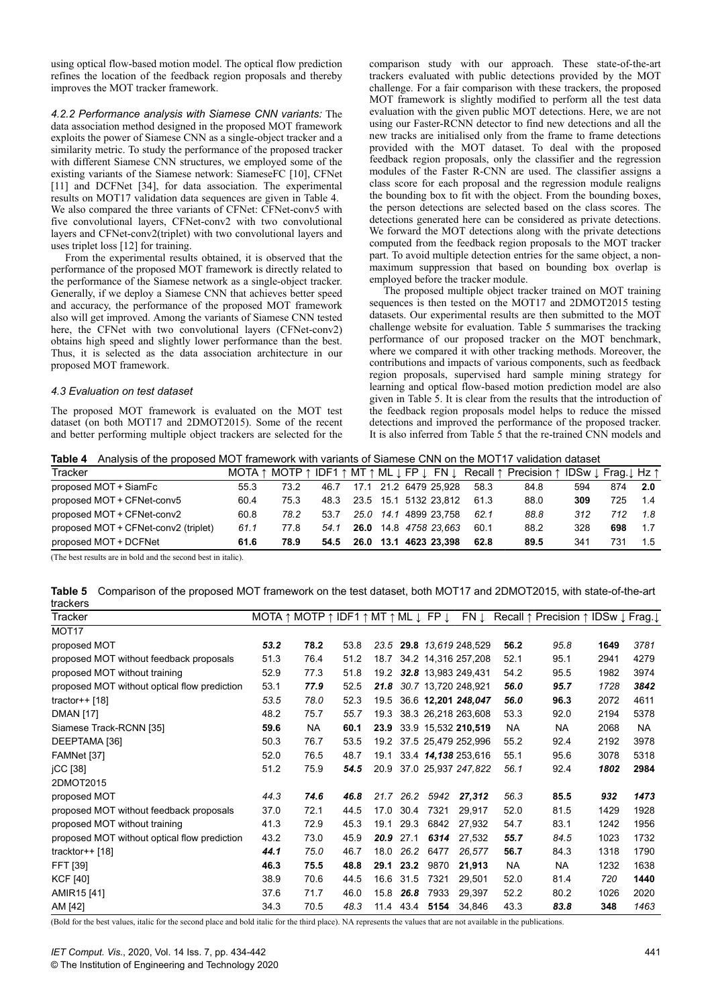using optical flow-based motion model. The optical flow prediction refines the location of the feedback region proposals and thereby improves the MOT tracker framework.

*4.2.2 Performance analysis with Siamese CNN variants:* The data association method designed in the proposed MOT framework exploits the power of Siamese CNN as a single-object tracker and a similarity metric. To study the performance of the proposed tracker with different Siamese CNN structures, we employed some of the existing variants of the Siamese network: SiameseFC [10], CFNet [11] and DCFNet [34], for data association. The experimental results on MOT17 validation data sequences are given in Table 4. We also compared the three variants of CFNet: CFNet-conv5 with five convolutional layers, CFNet-conv2 with two convolutional layers and CFNet-conv2(triplet) with two convolutional layers and uses triplet loss [12] for training.

From the experimental results obtained, it is observed that the performance of the proposed MOT framework is directly related to the performance of the Siamese network as a single-object tracker. Generally, if we deploy a Siamese CNN that achieves better speed and accuracy, the performance of the proposed MOT framework also will get improved. Among the variants of Siamese CNN tested here, the CFNet with two convolutional layers (CFNet-conv2) obtains high speed and slightly lower performance than the best. Thus, it is selected as the data association architecture in our proposed MOT framework.

#### *4.3 Evaluation on test dataset*

The proposed MOT framework is evaluated on the MOT test dataset (on both MOT17 and 2DMOT2015). Some of the recent and better performing multiple object trackers are selected for the comparison study with our approach. These state-of-the-art trackers evaluated with public detections provided by the MOT challenge. For a fair comparison with these trackers, the proposed MOT framework is slightly modified to perform all the test data evaluation with the given public MOT detections. Here, we are not using our Faster-RCNN detector to find new detections and all the new tracks are initialised only from the frame to frame detections provided with the MOT dataset. To deal with the proposed feedback region proposals, only the classifier and the regression modules of the Faster R-CNN are used. The classifier assigns a class score for each proposal and the regression module realigns the bounding box to fit with the object. From the bounding boxes, the person detections are selected based on the class scores. The detections generated here can be considered as private detections. We forward the MOT detections along with the private detections computed from the feedback region proposals to the MOT tracker part. To avoid multiple detection entries for the same object, a nonmaximum suppression that based on bounding box overlap is employed before the tracker module.

The proposed multiple object tracker trained on MOT training sequences is then tested on the MOT17 and 2DMOT2015 testing datasets. Our experimental results are then submitted to the MOT challenge website for evaluation. Table 5 summarises the tracking performance of our proposed tracker on the MOT benchmark, where we compared it with other tracking methods. Moreover, the contributions and impacts of various components, such as feedback region proposals, supervised hard sample mining strategy for learning and optical flow-based motion prediction model are also given in Table 5. It is clear from the results that the introduction of the feedback region proposals model helps to reduce the missed detections and improved the performance of the proposed tracker. It is also inferred from Table 5 that the re-trained CNN models and

| Tracker                              |      |      |      |      |  |                       |      | MOTA ↑ MOTP ↑ IDF1 ↑ MT ↑ ML I FP I FN I Recall ↑ Precision ↑ IDSw I Frag. I Hz ↑ |     |     |     |
|--------------------------------------|------|------|------|------|--|-----------------------|------|-----------------------------------------------------------------------------------|-----|-----|-----|
| proposed MOT + SiamFc                | 55.3 | 73.2 | 46.7 |      |  | 17.1 21.2 6479 25.928 | 58.3 | 84.8                                                                              | 594 | 874 | 2.0 |
| proposed MOT + CFNet-conv5           | 60.4 | 75.3 | 48.3 |      |  | 23.5 15.1 5132 23.812 | 61.3 | 88.0                                                                              | 309 | 725 | -14 |
| proposed MOT + CFNet-conv2           | 60.8 | 78.2 | 53.7 | 25.0 |  | 14.1 4899 23.758      | 621  | 88.8                                                                              | 312 | 712 | 18  |
| proposed MOT + CFNet-conv2 (triplet) | 61.1 | 77.8 | 54.1 | 26.0 |  | 14.8 4758 23.663      | 60.1 | 88.2                                                                              | 328 | 698 | 17  |
| proposed MOT + DCFNet                | 61.6 | 78.9 | 54.5 | 26.0 |  | 13.1 4623 23.398      | 62.8 | 89.5                                                                              | 341 | 731 | 15  |

(The best results are in bold and the second best in italic).

**Table 5** Comparison of the proposed MOT framework on the test dataset, both MOT17 and 2DMOT2015, with state-of-the-art trackers

| uaunuis                                      |      |                                                                                               |      |      |      |      |                          |      |                                     |      |           |
|----------------------------------------------|------|-----------------------------------------------------------------------------------------------|------|------|------|------|--------------------------|------|-------------------------------------|------|-----------|
| Tracker                                      |      | MOTA $\uparrow$ MOTP $\uparrow$ IDF1 $\uparrow$ MT $\uparrow$ ML $\downarrow$ FP $\downarrow$ |      |      |      |      | FN Į                     |      | Recall ↑ Precision ↑ IDSw ↓ Frag. ↓ |      |           |
| MOT <sub>17</sub>                            |      |                                                                                               |      |      |      |      |                          |      |                                     |      |           |
| proposed MOT                                 | 53.2 | 78.2                                                                                          | 53.8 | 23.5 |      |      | 29.8 13.619 248,529      | 56.2 | 95.8                                | 1649 | 3781      |
| proposed MOT without feedback proposals      | 51.3 | 76.4                                                                                          | 51.2 | 18.7 |      |      | 34.2 14,316 257,208      | 52.1 | 95.1                                | 2941 | 4279      |
| proposed MOT without training                | 52.9 | 77.3                                                                                          | 51.8 |      |      |      | 19.2 32.8 13,983 249,431 | 54.2 | 95.5                                | 1982 | 3974      |
| proposed MOT without optical flow prediction | 53.1 | 77.9                                                                                          | 52.5 | 21.8 |      |      | 30.7 13,720 248,921      | 56.0 | 95.7                                | 1728 | 3842      |
| tractor++ $[18]$                             | 53.5 | 78.0                                                                                          | 52.3 | 19.5 |      |      | 36.6 12,201 248,047      | 56.0 | 96.3                                | 2072 | 4611      |
| <b>DMAN [17]</b>                             | 48.2 | 75.7                                                                                          | 55.7 | 19.3 |      |      | 38.3 26,218 263,608      | 53.3 | 92.0                                | 2194 | 5378      |
| Siamese Track-RCNN [35]                      | 59.6 | NA                                                                                            | 60.1 | 23.9 |      |      | 33.9 15,532 210,519      | NA   | NA.                                 | 2068 | <b>NA</b> |
| DEEPTAMA [36]                                | 50.3 | 76.7                                                                                          | 53.5 | 19.2 |      |      | 37.5 25,479 252,996      | 55.2 | 92.4                                | 2192 | 3978      |
| FAMNet [37]                                  | 52.0 | 76.5                                                                                          | 48.7 | 19.1 |      |      | 33.4 14,138 253,616      | 55.1 | 95.6                                | 3078 | 5318      |
| <b>iCC</b> [38]                              | 51.2 | 75.9                                                                                          | 54.5 | 20.9 |      |      | 37.0 25,937 247,822      | 56.1 | 92.4                                | 1802 | 2984      |
| 2DMOT2015                                    |      |                                                                                               |      |      |      |      |                          |      |                                     |      |           |
| proposed MOT                                 | 44.3 | 74.6                                                                                          | 46.8 | 21.7 | 26.2 | 5942 | 27,312                   | 56.3 | 85.5                                | 932  | 1473      |
| proposed MOT without feedback proposals      | 37.0 | 72.1                                                                                          | 44.5 | 17.0 | 30.4 | 7321 | 29,917                   | 52.0 | 81.5                                | 1429 | 1928      |
| proposed MOT without training                | 41.3 | 72.9                                                                                          | 45.3 | 19.1 | 29.3 | 6842 | 27.932                   | 54.7 | 83.1                                | 1242 | 1956      |
| proposed MOT without optical flow prediction | 43.2 | 73.0                                                                                          | 45.9 | 20.9 | 27.1 | 6314 | 27,532                   | 55.7 | 84.5                                | 1023 | 1732      |
| tracktor++ $[18]$                            | 44.1 | 75.0                                                                                          | 46.7 | 18.0 | 26.2 | 6477 | 26,577                   | 56.7 | 84.3                                | 1318 | 1790      |
| FFT [39]                                     | 46.3 | 75.5                                                                                          | 48.8 | 29.1 | 23.2 | 9870 | 21,913                   | NA   | <b>NA</b>                           | 1232 | 1638      |
| <b>KCF</b> [40]                              | 38.9 | 70.6                                                                                          | 44.5 | 16.6 | 31.5 | 7321 | 29,501                   | 52.0 | 81.4                                | 720  | 1440      |
| AMIR15 [41]                                  | 37.6 | 71.7                                                                                          | 46.0 | 15.8 | 26.8 | 7933 | 29,397                   | 52.2 | 80.2                                | 1026 | 2020      |
| AM [42]                                      | 34.3 | 70.5                                                                                          | 48.3 | 11.4 | 43.4 | 5154 | 34,846                   | 43.3 | 83.8                                | 348  | 1463      |
|                                              |      |                                                                                               |      |      |      |      |                          |      |                                     |      |           |

(Bold for the best values, italic for the second place and bold italic for the third place). NA represents the values that are not available in the publications.